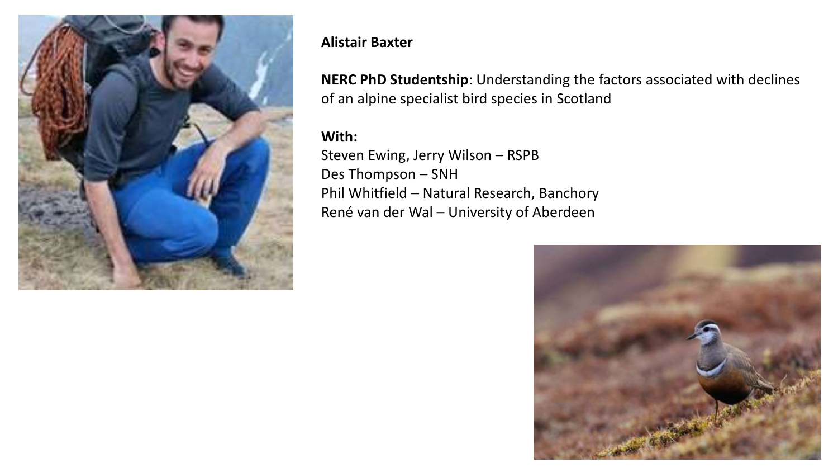

## **Alistair Baxter**

**NERC PhD Studentship**: Understanding the factors associated with declines of an alpine specialist bird species in Scotland

## **With:**

Steven Ewing, Jerry Wilson – RSPB Des Thompson – SNH Phil Whitfield – Natural Research, Banchory René van der Wal – University of Aberdeen

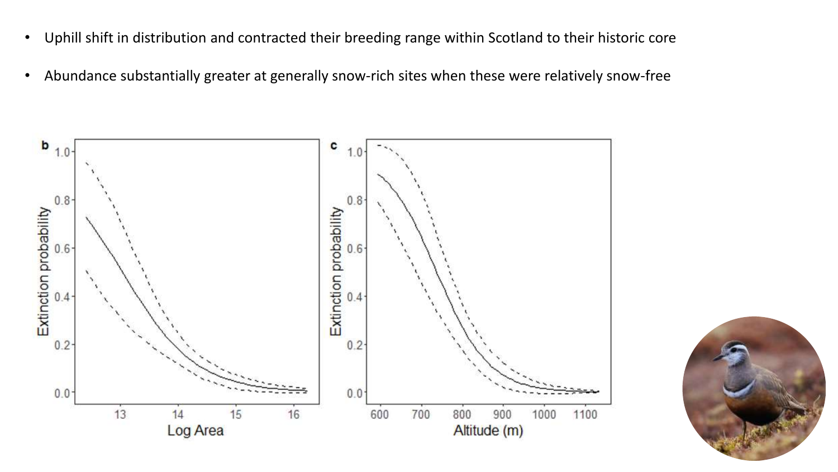- Uphill shift in distribution and contracted their breeding range within Scotland to their historic core
- Abundance substantially greater at generally snow-rich sites when these were relatively snow-free



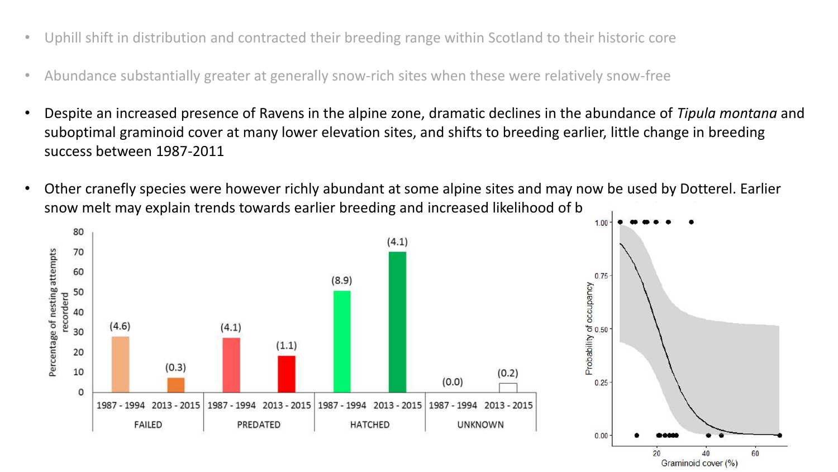- Uphill shift in distribution and contracted their breeding range within Scotland to their historic core
- Abundance substantially greater at generally snow-rich sites when these were relatively snow-free
- Despite an increased presence of Ravens in the alpine zone, dramatic declines in the abundance of *Tipula montana* and suboptimal graminoid cover at many lower elevation sites, and shifts to breeding earlier, little change in breeding success between 1987-2011
- Other cranefly species were however richly abundant at some alpine sites and may now be used by Dotterel. Earlier snow melt may explain trends towards earlier breeding and increased likelihood of b



Graminoid cover (%)